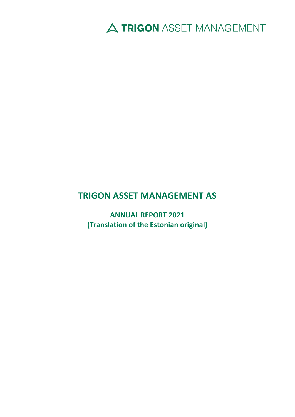

# **TRIGON ASSET MANAGEMENT AS**

**ANNUAL REPORT 2021 (Translation of the Estonian original)**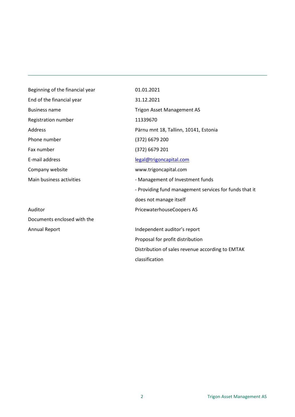| Beginning of the financial year | 01.01.2021                                             |
|---------------------------------|--------------------------------------------------------|
| End of the financial year       | 31.12.2021                                             |
| <b>Business name</b>            | Trigon Asset Management AS                             |
| Registration number             | 11339670                                               |
| <b>Address</b>                  | Pärnu mnt 18, Tallinn, 10141, Estonia                  |
| Phone number                    | (372) 6679 200                                         |
| Fax number                      | (372) 6679 201                                         |
| E-mail address                  | legal@trigoncapital.com                                |
| Company website                 | www.trigoncapital.com                                  |
| Main business activities        | - Management of Investment funds                       |
|                                 | - Providing fund management services for funds that it |
|                                 | does not manage itself                                 |
| Auditor                         | PricewaterhouseCoopers AS                              |
| Documents enclosed with the     |                                                        |
| <b>Annual Report</b>            | Independent auditor's report                           |
|                                 | Proposal for profit distribution                       |
|                                 | Distribution of sales revenue according to EMTAK       |
|                                 | classification                                         |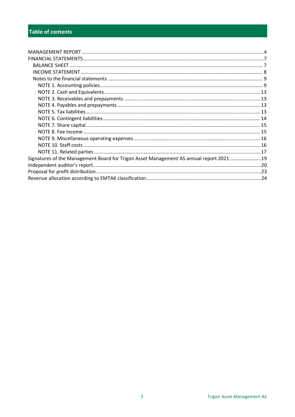| Signatures of the Management Board for Trigon Asset Management AS annual report 202119 |  |
|----------------------------------------------------------------------------------------|--|
|                                                                                        |  |
|                                                                                        |  |
|                                                                                        |  |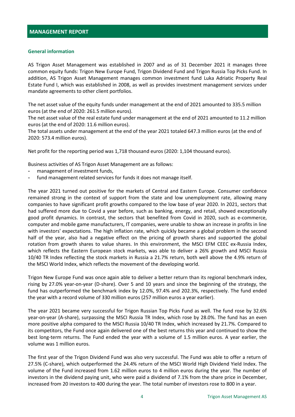#### <span id="page-3-0"></span>**MANAGEMENT REPORT**

#### **General information**

AS Trigon Asset Management was established in 2007 and as of 31 December 2021 it manages three common equity funds: Trigon New Europe Fund, Trigon Dividend Fund and Trigon Russia Top Picks Fund. In addition, AS Trigon Asset Management manages common investment fund Luka Adriatic Property Real Estate Fund I, which was established in 2008, as well as provides investment management services under mandate agreements to other client portfolios.

The net asset value of the equity funds under management at the end of 2021 amounted to 335.5 million euros (at the end of 2020: 261.5 million euros).

The net asset value of the real estate fund under management at the end of 2021 amounted to 11.2 million euros (at the end of 2020: 11.6 million euros).

The total assets under management at the end of the year 2021 totaled 647.3 million euros (at the end of 2020: 573.4 million euros).

Net profit for the reporting period was 1,718 thousand euros (2020: 1,104 thousand euros).

Business activities of AS Trigon Asset Management are as follows:

- management of investment funds,
- fund management related services for funds it does not manage itself.

The year 2021 turned out positive for the markets of Central and Eastern Europe. Consumer confidence remained strong in the context of support from the state and low unemployment rate, allowing many companies to have significant profit growths compared to the low base of year 2020. In 2021, sectors that had suffered more due to Covid a year before, such as banking, energy, and retail, showed exceptionally good profit dynamics. In contrast, the sectors that benefited from Covid in 2020, such as e-commerce, computer and mobile game manufacturers, IT companies, were unable to show an increase in profits in line with investors' expectations. The high inflation rate, which quickly became a global problem in the second half of the year, also had a negative effect on the pricing of growth shares and supported the global rotation from growth shares to value shares. In this environment, the MSCI EFM CEEC ex-Russia Index, which reflects the Eastern European stock markets, was able to deliver a 26% growth and MSCI Russia 10/40 TR Index reflecting the stock markets in Russia a 21.7% return, both well above the 4.9% return of the MSCI World Index, which reflects the movement of the developing world.

Trigon New Europe Fund was once again able to deliver a better return than its regional benchmark index, rising by 27.0% year-on-year (D-share). Over 5 and 10 years and since the beginning of the strategy, the fund has outperformed the benchmark index by 12.0%, 97.4% and 202.3%, respectively. The fund ended the year with a record volume of 330 million euros (257 million euros a year earlier).

The year 2021 became very successful for Trigon Russian Top Picks Fund as well. The fund rose by 32.6% year-on-year (A-share), surpassing the MSCI Russia TR Index, which rose by 28.0%. The fund has an even more positive alpha compared to the MSCI Russia 10/40 TR Index, which increased by 21.7%. Compared to its competitors, the Fund once again delivered one of the best returns this year and continued to show the best long-term returns. The Fund ended the year with a volume of 1.5 million euros. A year earlier, the volume was 1 million euros.

The first year of the Trigon Dividend Fund was also very successful. The Fund was able to offer a return of 27.5% (C-share), which outperformed the 24.4% return of the MSCI World High Dividend Yield Index. The volume of the Fund increased from 1.62 million euros to 4 million euros during the year. The number of investors in the dividend paying unit, who were paid a dividend of 7.1% from the share price in December, increased from 20 investors to 400 during the year. The total number of investors rose to 800 in a year.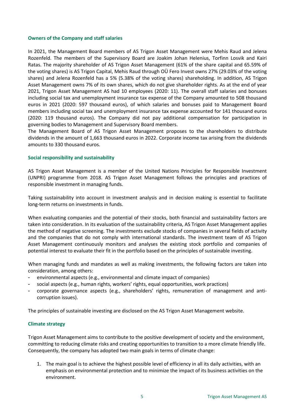#### **Owners of the Company and staff salaries**

In 2021, the Management Board members of AS Trigon Asset Management were Mehis Raud and Jelena Rozenfeld. The members of the Supervisory Board are Joakim Johan Helenius, Torfinn Losvik and Kairi Ratas. The majority shareholder of AS Trigon Asset Management (61% of the share capital and 65.59% of the voting shares) is AS Trigon Capital, Mehis Raud through OÜ Fero Invest owns 27% (29.03% of the voting shares) and Jelena Rozenfeld has a 5% (5.38% of the voting shares) shareholding. In addition, AS Trigon Asset Management owns 7% of its own shares, which do not give shareholder rights. As at the end of year 2021, Trigon Asset Management AS had 10 employees (2020: 11). The overall staff salaries and bonuses including social tax and unemployment insurance tax expense of the Company amounted to 508 thousand euros in 2021 (2020: 597 thousand euros), of which salaries and bonuses paid to Management Board members including social tax and unemployment insurance tax expense accounted for 141 thousand euros (2020: 119 thousand euros). The Company did not pay additional compensation for participation in governing bodies to Management and Supervisory Board members.

The Management Board of AS Trigon Asset Management proposes to the shareholders to distribute dividends in the amount of 1,663 thousand euros in 2022. Corporate income tax arising from the dividends amounts to 330 thousand euros.

#### **Social responsibility and sustainability**

AS Trigon Asset Management is a member of the United Nations Principles for Responsible Investment (UNPRI) programme from 2018. AS Trigon Asset Management follows the principles and practices of responsible investment in managing funds.

Taking sustainability into account in investment analysis and in decision making is essential to facilitate long-term returns on investments in funds.

When evaluating companies and the potential of their stocks, both financial and sustainability factors are taken into consideration. In its evaluation of the sustainability criteria, AS Trigon Asset Management applies the method of negative screening. The investments exclude stocks of companies in several fields of activity and the companies that do not comply with international standards. The investment team of AS Trigon Asset Management continuously monitors and analyses the existing stock portfolio and companies of potential interest to evaluate their fit in the portfolio based on the principles of sustainable investing.

When managing funds and mandates as well as making investments, the following factors are taken into consideration, among others:

- environmental aspects (e.g., environmental and climate impact of companies)
- social aspects (e.g., human rights, workers' rights, equal opportunities, work practices)
- corporate governance aspects (e.g., shareholders' rights, remuneration of management and anticorruption issues).

The principles of sustainable investing are disclosed on the AS Trigon Asset Management website.

#### **Climate strategy**

Trigon Asset Management aims to contribute to the positive development of society and the environment, committing to reducing climate risks and creating opportunities to transition to a more climate friendly life. Consequently, the company has adopted two main goals in terms of climate change:

1. The main goal is to achieve the highest possible level of efficiency in all its daily activities, with an emphasis on environmental protection and to minimize the impact of its business activities on the environment.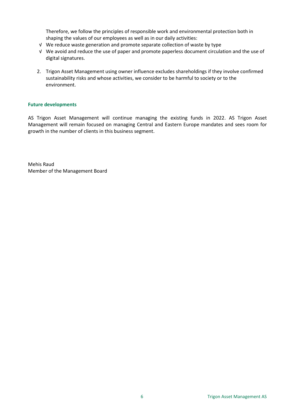Therefore, we follow the principles of responsible work and environmental protection both in shaping the values of our employees as well as in our daily activities:

- √ We reduce waste generation and promote separate collection of waste by type
- √ We avoid and reduce the use of paper and promote paperless document circulation and the use of digital signatures.
- 2. Trigon Asset Management using owner influence excludes shareholdings if they involve confirmed sustainability risks and whose activities, we consider to be harmful to society or to the environment.

#### **Future developments**

AS Trigon Asset Management will continue managing the existing funds in 2022. AS Trigon Asset Management will remain focused on managing Central and Eastern Europe mandates and sees room for growth in the number of clients in this business segment.

Mehis Raud Member of the Management Board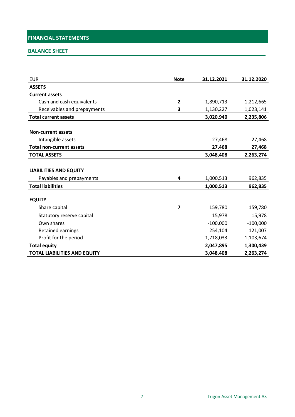## <span id="page-6-0"></span>**FINANCIAL STATEMENTS**

### <span id="page-6-1"></span>**BALANCE SHEET**

| <b>EUR</b>                          | <b>Note</b>  | 31.12.2021 | 31.12.2020 |
|-------------------------------------|--------------|------------|------------|
| <b>ASSETS</b>                       |              |            |            |
| <b>Current assets</b>               |              |            |            |
| Cash and cash equivalents           | $\mathbf{2}$ | 1,890,713  | 1,212,665  |
| Receivables and prepayments         | 3            | 1,130,227  | 1,023,141  |
| <b>Total current assets</b>         |              | 3,020,940  | 2,235,806  |
|                                     |              |            |            |
| <b>Non-current assets</b>           |              |            |            |
| Intangible assets                   |              | 27,468     | 27,468     |
| <b>Total non-current assets</b>     |              | 27,468     | 27,468     |
| <b>TOTAL ASSETS</b>                 |              | 3,048,408  | 2,263,274  |
|                                     |              |            |            |
| <b>LIABILITIES AND EQUITY</b>       |              |            |            |
| Payables and prepayments            | 4            | 1,000,513  | 962,835    |
| <b>Total liabilities</b>            |              | 1,000,513  | 962,835    |
|                                     |              |            |            |
| <b>EQUITY</b>                       |              |            |            |
| Share capital                       | 7            | 159,780    | 159,780    |
| Statutory reserve capital           |              | 15,978     | 15,978     |
| Own shares                          |              | $-100,000$ | $-100,000$ |
| Retained earnings                   |              | 254,104    | 121,007    |
| Profit for the period               |              | 1,718,033  | 1,103,674  |
| <b>Total equity</b>                 |              | 2,047,895  | 1,300,439  |
| <b>TOTAL LIABILITIES AND EQUITY</b> |              | 3,048,408  | 2,263,274  |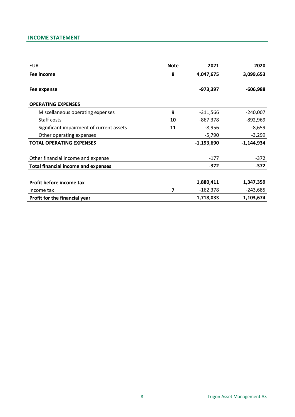<span id="page-7-0"></span>

| <b>EUR</b>                                 | <b>Note</b> | 2021         | 2020         |
|--------------------------------------------|-------------|--------------|--------------|
| Fee income                                 | 8           | 4,047,675    | 3,099,653    |
| Fee expense                                |             | -973,397     | $-606,988$   |
| <b>OPERATING EXPENSES</b>                  |             |              |              |
| Miscellaneous operating expenses           | 9           | $-311,566$   | $-240,007$   |
| Staff costs                                | 10          | $-867,378$   | $-892,969$   |
| Significant impairment of current assets   | 11          | $-8,956$     | $-8,659$     |
| Other operating expenses                   |             | $-5,790$     | $-3,299$     |
| <b>TOTAL OPERATING EXPENSES</b>            |             | $-1,193,690$ | $-1,144,934$ |
| Other financial income and expense         |             | $-177$       | -372         |
| <b>Total financial income and expenses</b> |             | $-372$       | $-372$       |
| Profit before income tax                   |             | 1,880,411    | 1,347,359    |
| Income tax                                 | 7           | $-162,378$   | $-243,685$   |
| Profit for the financial year              |             | 1,718,033    | 1,103,674    |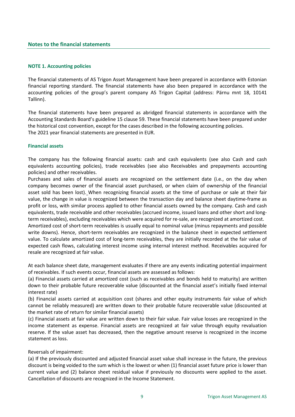#### <span id="page-8-1"></span><span id="page-8-0"></span>**NOTE 1. Accounting policies**

The financial statements of AS Trigon Asset Management have been prepared in accordance with Estonian financial reporting standard. The financial statements have also been prepared in accordance with the accounting policies of the group's parent company AS Trigon Capital (address: Pärnu mnt 18, 10141 Tallinn).

The financial statements have been prepared as abridged financial statements in accordance with the Accounting Standards Board's guideline 15 clause 59. These financial statements have been prepared under the historical cost convention, except for the cases described in the following accounting policies. The 2021 year financial statements are presented in EUR.

#### **Financial assets**

The company has the following financial assets: cash and cash equivalents (see also Cash and cash equivalents accounting policies), trade receivables (see also Receivables and prepayments accounting policies) and other receivables.

Purchases and sales of financial assets are recognized on the settlement date (i.e., on the day when company becomes owner of the financial asset purchased, or when claim of ownership of the financial asset sold has been lost). When recognizing financial assets at the time of purchase or sale at their fair value, the change in value is recognized between the transaction day and balance sheet daytime-frame as profit or loss, with similar process applied to other financial assets owned by the company. Cash and cash equivalents, trade receivable and other receivables (accrued income, issued loans and other short and longterm receivables), excluding receivables which were acquired for re-sale, are recognized at amortized cost. Amortized cost of short-term receivables is usually equal to nominal value (minus repayments and possible

write downs). Hence, short-term receivables are recognized in the balance sheet in expected settlement value. To calculate amortized cost of long-term receivables, they are initially recorded at the fair value of expected cash flows, calculating interest income using internal interest method. Receivables acquired for resale are recognized at fair value.

At each balance sheet date, management evaluates if there are any events indicating potential impairment of receivables. If such events occur, financial assets are assessed as follows:

(a) Financial assets carried at amortized cost (such as receivables and bonds held to maturity) are written down to their probable future recoverable value (discounted at the financial asset's initially fixed internal interest rate)

(b) Financial assets carried at acquisition cost (shares and other equity instruments fair value of which cannot be reliably measured) are written down to their probable future recoverable value (discounted at the market rate of return for similar financial assets)

(c) Financial assets at fair value are written down to their fair value. Fair value losses are recognized in the income statement as expense. Financial assets are recognized at fair value through equity revaluation reserve. If the value asset has decreased, then the negative amount reserve is recognized in the income statement as loss.

### Reversals of impairment:

(a) If the previously discounted and adjusted financial asset value shall increase in the future, the previous discount is being voided to the sum which is the lowest or when (1) financial asset future price is lower than current value and (2) balance sheet residual value if previously no discounts were applied to the asset. Cancellation of discounts are recognized in the Income Statement.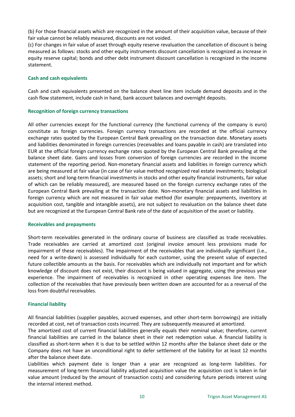(b) For those financial assets which are recognized in the amount of their acquisition value, because of their fair value cannot be reliably measured, discounts are not voided.

(c) For changes in fair value of asset through equity reserve revaluation the cancellation of discount is being measured as follows: stocks and other equity instruments discount cancellation is recognized as increase in equity reserve capital; bonds and other debt instrument discount cancellation is recognized in the income statement.

#### **Cash and cash equivalents**

Cash and cash equivalents presented on the balance sheet line item include demand deposits and in the cash flow statement, include cash in hand, bank account balances and overnight deposits.

#### **Recognition of foreign currency transactions**

All other currencies except for the functional currency (the functional currency of the company is euro) constitute as foreign currencies. Foreign currency transactions are recorded at the official currency exchange rates quoted by the European Central Bank prevailing on the transaction date. Monetary assets and liabilities denominated in foreign currencies (receivables and loans payable in cash) are translated into EUR at the official foreign currency exchange rates quoted by the European Central Bank prevailing at the balance sheet date. Gains and losses from conversion of foreign currencies are recorded in the income statement of the reporting period. Non-monetary financial assets and liabilities in foreign currency which are being measured at fair value (in case of fair value method recognized real estate investments; biological assets; short and long-term financial investments in stocks and other equity financial instruments, fair value of which can be reliably measured), are measured based on the foreign currency exchange rates of the European Central Bank prevailing at the transaction date. Non-monetary financial assets and liabilities in foreign currency which are not measured in fair value method (for example: prepayments, inventory at acquisition cost, tangible and intangible assets), are not subject to revaluation on the balance sheet date but are recognized at the European Central Bank rate of the date of acquisition of the asset or liability.

#### **Receivables and prepayments**

Short-term receivables generated in the ordinary course of business are classified as trade receivables. Trade receivables are carried at amortized cost (original invoice amount less provisions made for impairment of these receivables). The impairment of the receivables that are individually significant (i.e., need for a write-down) is assessed individually for each customer, using the present value of expected future collectible amounts as the basis. For receivables which are individually not important and for which knowledge of discount does not exist, their discount is being valued in aggregate, using the previous year experience. The impairment of receivables is recognized in other operating expenses line item. The collection of the receivables that have previously been written down are accounted for as a reversal of the loss from doubtful receivables.

#### **Financial liability**

All financial liabilities (supplier payables, accrued expenses, and other short-term borrowings) are initially recorded at cost, net of transaction costs incurred. They are subsequently measured at amortized.

The amortized cost of current financial liabilities generally equals their nominal value; therefore, current financial liabilities are carried in the balance sheet in their net redemption value. A financial liability is classified as short-term when it is due to be settled within 12 months after the balance sheet date or the Company does not have an unconditional right to defer settlement of the liability for at least 12 months after the balance sheet date.

Liabilities which payment date is longer than a year are recognized as long-term liabilities. For measurement of long-term financial liability adjusted acquisition value the acquisition cost is taken in fair value amount (reduced by the amount of transaction costs) and considering future periods interest using the internal interest method.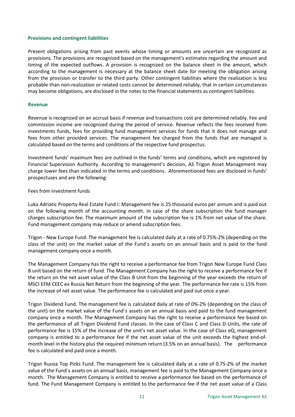#### **Provisions and contingent liabilities**

Present obligations arising from past events whose timing or amounts are uncertain are recognized as provisions. The provisions are recognized based on the management's estimates regarding the amount and timing of the expected outflows. A provision is recognized on the balance sheet in the amount, which according to the management is necessary at the balance sheet date for meeting the obligation arising from the provision or transfer to the third party. Other contingent liabilities where the realization is less probable than non-realization or related costs cannot be determined reliably, that in certain circumstances may become obligations, are disclosed in the notes to the financial statements as contingent liabilities.

#### **Revenue**

Revenue is recognized on an accrual basis if revenue and transactions cost are determined reliably. Fee and commission income are recognized during the period of service. Revenue reflects the fees received from investments funds, fees for providing fund management services for funds that it does not manage and fees from other provided services. The management fee charged from the funds that are managed is calculated based on the terms and conditions of the respective fund prospectus.

Investment funds' maximum fees are outlined in the funds' terms and conditions, which are registered by Financial Supervision Authority. According to management's decision, AS Trigon Asset Management may charge lower fees than indicated in the terms and conditions. Aforementioned fees are disclosed in funds' prospectuses and are the following:

#### Fees from investment funds

Luka Adriatic Property Real Estate Fund I: Management fee is 25 thousand euros per annum and is paid out on the following month of the accounting month. In case of the share subscription the fund manager charges subscription fee. The maximum amount of the subscription fee is 1% from net value of the share. Fund management company may reduce or amend subscription fees.

Trigon - New Europe Fund. The management fee is calculated daily at a rate of 0.75%-2% (depending on the class of the unit) on the market value of the Fund´s assets on an annual basis and is paid to the fund management company once a month.

The Management Company has the right to receive a performance fee from Trigon New Europe Fund Class B unit based on the return of fund. The Management Company has the right to receive a performance fee if the return on the net asset value of the Class B Unit from the beginning of the year exceeds the return of MSCI EFM CEEC ex Russia Net Return from the beginning of the year. The performance fee rate is 15% from the increase of net asset value. The performance fee is calculated and paid out once a year.

Trigon Dividend Fund. The management fee is calculated daily at rate of 0%-2% (depending on the class of the unit) on the market value of the Fund´s assets on an annual basis and paid to the fund management company once a month. The Management Company has the right to receive a performance fee based on the performance of all Trigon Dividend Fund classes. In the case of Class C and Class D Units, the rate of performance fee is 15% of the increase of the unit's net asset value. In the case of Class eQ, management company is entitled to a performance fee if the net asset value of the unit exceeds the highest end-ofmonth level in the history plus the required minimum return (3.5% on an annual basis). The performance fee is calculated and paid once a month.

Trigon Russia Top Picks Fund. The management fee is calculated daily at a rate of 0.75-2% of the market value of the Fund´s assets on an annual basis, management fee is paid to the Management Company once a month. The Management Company is entitled to receive a performance fee based on the performance of fund. The Fund Management Company is entitled to the performance fee if the net asset value of a Class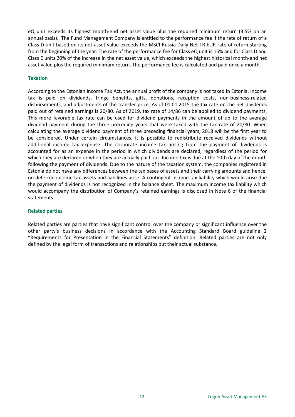eQ unit exceeds its highest month-end net asset value plus the required minimum return (3.5% on an annual basis). The Fund Management Company is entitled to the performance fee if the rate of return of a Class D unit based on its net asset value exceeds the MSCI Russia Daily Net TR EUR rate of return starting from the beginning of the year. The rate of the performance fee for Class eQ unit is 15% and for Class D and Class E units 20% of the increase in the net asset value, which exceeds the highest historical month-end net asset value plus the required minimum return. The performance fee is calculated and paid once a month.

#### **Taxation**

According to the Estonian Income Tax Act, the annual profit of the company is not taxed in Estonia. Income tax is paid on dividends, fringe benefits, gifts, donations, reception costs, non-business-related disbursements, and adjustments of the transfer price. As of 01.01.2015 the tax rate on the net dividends paid out of retained earnings is 20/80. As of 2019, tax rate of 14/86 can be applied to dividend payments. This more favorable tax rate can be used for dividend payments in the amount of up to the average dividend payment during the three preceding years that were taxed with the tax rate of 20/80. When calculating the average dividend payment of three preceding financial years, 2018 will be the first year to be considered. Under certain circumstances, it is possible to redistribute received dividends without additional income tax expense. The corporate income tax arising from the payment of dividends is accounted for as an expense in the period in which dividends are declared, regardless of the period for which they are declared or when they are actually paid out. Income tax is due at the 10th day of the month following the payment of dividends. Due to the nature of the taxation system, the companies registered in Estonia do not have any differences between the tax bases of assets and their carrying amounts and hence, no deferred income tax assets and liabilities arise. A contingent income tax liability which would arise due the payment of dividends is not recognized in the balance sheet. The maximum income tax liability which would accompany the distribution of Company's retained earnings is disclosed in Note 6 of the financial statements.

#### **Related parties**

Related parties are parties that have significant control over the company or significant influence over the other party's business decisions in accordance with the Accounting Standard Board guideline 2 "Requirements for Presentation in the Financial Statements" definition. Related parties are not only defined by the legal form of transactions and relationships but their actual substance.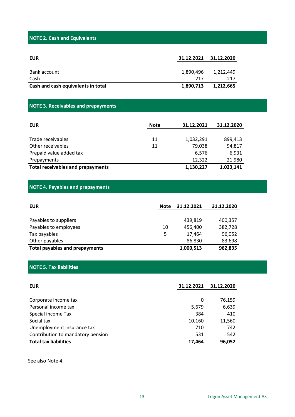<span id="page-12-0"></span>**NOTE 2. Cash and Equivalents**

| <b>EUR</b>                         | 31.12.2021       | 31.12.2020       |
|------------------------------------|------------------|------------------|
| Bank account<br>Cash               | 1,890,496<br>217 | 1,212,449<br>217 |
| Cash and cash equivalents in total | 1,890,713        | 1,212,665        |

## <span id="page-12-1"></span>**NOTE 3. Receivables and prepayments**

| <b>EUR</b>                               | <b>Note</b> | 31.12.2021 | 31.12.2020 |
|------------------------------------------|-------------|------------|------------|
|                                          |             |            |            |
| Trade receivables                        | 11          | 1,032,291  | 899,413    |
| Other receivables                        | 11          | 79.038     | 94,817     |
| Prepaid value added tax                  |             | 6.576      | 6,931      |
| Prepayments                              |             | 12.322     | 21,980     |
| <b>Total receivables and prepayments</b> |             | 1,130,227  | 1,023,141  |

## <span id="page-12-2"></span>**NOTE 4. Payables and prepayments**

| <b>EUR</b>                            | <b>Note</b> | 31.12.2021 | 31.12.2020 |
|---------------------------------------|-------------|------------|------------|
|                                       |             |            |            |
| Payables to suppliers                 |             | 439.819    | 400,357    |
| Payables to employees                 | 10          | 456.400    | 382,728    |
| Tax payables                          | 5           | 17.464     | 96,052     |
| Other payables                        |             | 86,830     | 83,698     |
| <b>Total payables and prepayments</b> |             | 1,000,513  | 962,835    |

#### <span id="page-12-3"></span>**NOTE 5. Tax liabilities**

| <b>EUR</b>                        | 31.12.2021 | 31.12.2020 |
|-----------------------------------|------------|------------|
|                                   |            |            |
| Corporate income tax              | 0          | 76,159     |
| Personal income tax               | 5,679      | 6,639      |
| Special income Tax                | 384        | 410        |
| Social tax                        | 10,160     | 11,560     |
| Unemployment insurance tax        | 710        | 742        |
| Contribution to mandatory pension | 531        | 542        |
| <b>Total tax liabilities</b>      | 17.464     | 96.052     |

See also Note 4.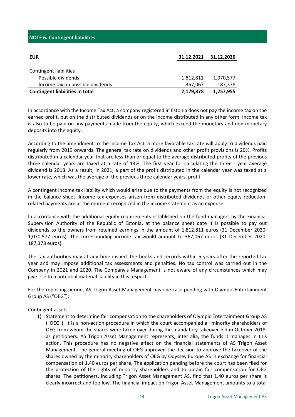<span id="page-13-0"></span>**NOTE 6. Contingent liabilities** 

| <b>EUR</b>                             | 31.12.2021 | 31.12.2020 |
|----------------------------------------|------------|------------|
| Contingent liabilities                 |            |            |
| Possible dividends                     | 1,812,811  | 1,070,577  |
| Income tax on possible dividends       | 367,067    | 187,378    |
| <b>Contingent liabilities in total</b> | 2,179,878  | 1,257,955  |

In accordance with the Income Tax Act, a company registered in Estonia does not pay the income tax on the earned profit, but on the distributed dividends or on the income distributed in any other form. Income tax is also to be paid on any payments made from the equity, which exceed the monetary and non-monetary deposits into the equity.

According to the amendment to the Income Tax Act, a more favorable tax rate will apply to dividends paid regularly from 2019 onwards. The general tax rate on dividends and other profit provisions is 20%. Profits distributed in a calendar year that are less than or equal to the average distributed profits of the previous three calendar years are taxed at a rate of 14%. The first year for calculating the three - year average dividend is 2018. As a result, in 2021, a part of the profit distributed in the calendar year was taxed at a lower rate, which was the average of the previous three calendar years' profit.

A contingent income tax liability which would arise due to the payments from the equity is not recognized in the balance sheet. Income tax expenses arisen from distributed dividends or other equity reductionrelated payments are at the moment recognized in the income statement as an expense.

In accordance with the additional equity requirements established on the fund managers by the Financial Supervision Authority of the Republic of Estonia, at the balance sheet date it is possible to pay out dividends to the owners from retained earnings in the amount of 1,812,811 euros (31 December 2020: 1,070,577 euros). The corresponding income tax would amount to 367,067 euros (31 December 2020: 187,378 euros).

The tax authorities may at any time inspect the books and records within 5 years after the reported tax year and may impose additional tax assessments and penalties. No tax control was carried out in the Company in 2021 and 2020. The Company's Management is not aware of any circumstances which may give rise to a potential material liability in this respect.

For the reporting period, AS Trigon Asset Management has one case pending with Olympic Entertainment Group AS ("OEG"):

#### Contingent assets

1) Statement to determine fair compensation to the shareholders of Olympic Entertainment Group AS ("OEG"). It is a non-action procedure in which the court accompanied all minority shareholders of OEG from whom the shares were taken over during the mandatory takeover bid in October 2018, as petitioners. AS Trigon Asset Management represents, inter alia, the funds it manages in this action. This procedure has no negative effect on the financial statements of AS Trigon Asset Management. The general meeting of OEG approved the decision to approve the takeover of the shares owned by the minority shareholders of OEG by Odyssey Europe AS in exchange for financial compensation of 1.40 euros per share. The application pending before the court has been filed for the protection of the rights of minority shareholders and to obtain fair compensation for OEG shares. The petitioners, including Trigon Asset Management AS, find that 1.40 euros per share is clearly incorrect and too low. The financial impact on Trigon Asset Management amounts to a total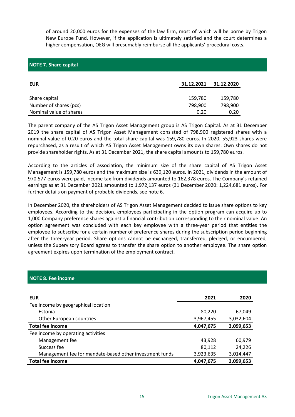of around 20,000 euros for the expenses of the law firm, most of which will be borne by Trigon New Europe Fund. However, if the application is ultimately satisfied and the court determines a higher compensation, OEG will presumably reimburse all the applicants' procedural costs.

#### <span id="page-14-0"></span>**NOTE 7. Share capital**

| <b>EUR</b>              | 31.12.2021 | 31.12.2020 |
|-------------------------|------------|------------|
| Share capital           | 159,780    | 159,780    |
| Number of shares (pcs)  | 798,900    | 798,900    |
| Nominal value of shares | 0.20       | 0.20       |

The parent company of the AS Trigon Asset Management group is AS Trigon Capital. As at 31 December 2019 the share capital of AS Trigon Asset Management consisted of 798,900 registered shares with a nominal value of 0.20 euros and the total share capital was 159,780 euros. In 2020, 55,923 shares were repurchased, as a result of which AS Trigon Asset Management owns its own shares. Own shares do not provide shareholder rights. As at 31 December 2021, the share capital amounts to 159,780 euros.

According to the articles of association, the minimum size of the share capital of AS Trigon Asset Management is 159,780 euros and the maximum size is 639,120 euros. In 2021, dividends in the amount of 970,577 euros were paid, income tax from dividends amounted to 162,378 euros. The Company's retained earnings as at 31 December 2021 amounted to 1,972,137 euros (31 December 2020: 1,224,681 euros). For further details on payment of probable dividends, see note 6.

In December 2020, the shareholders of AS Trigon Asset Management decided to issue share options to key employees. According to the decision, employees participating in the option program can acquire up to 1,000 Company preference shares against a financial contribution corresponding to their nominal value. An option agreement was concluded with each key employee with a three-year period that entitles the employee to subscribe for a certain number of preference shares during the subscription period beginning after the three-year period. Share options cannot be exchanged, transferred, pledged, or encumbered, unless the Supervisory Board agrees to transfer the share option to another employee. The share option agreement expires upon termination of the employment contract.

#### <span id="page-14-1"></span>**NOTE 8. Fee income**

| <b>EUR</b>                                              | 2021      | 2020      |
|---------------------------------------------------------|-----------|-----------|
| Fee income by geographical location                     |           |           |
| Estonia                                                 | 80,220    | 67,049    |
| Other European countries                                | 3,967,455 | 3,032,604 |
| <b>Total fee income</b>                                 | 4,047,675 | 3,099,653 |
| Fee income by operating activities                      |           |           |
| Management fee                                          | 43,928    | 60,979    |
| Success fee                                             | 80,112    | 24,226    |
| Management fee for mandate-based other investment funds | 3,923,635 | 3,014,447 |
| <b>Total fee income</b>                                 | 4,047,675 | 3,099,653 |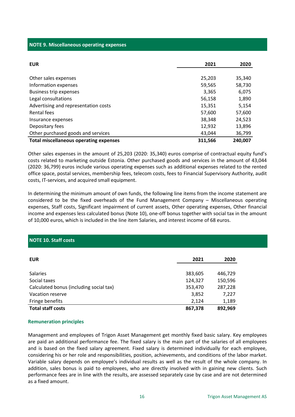#### <span id="page-15-0"></span>**NOTE 9. Miscellaneous operating expenses**

| <b>EUR</b>                                    | 2021    | 2020    |
|-----------------------------------------------|---------|---------|
|                                               |         |         |
| Other sales expenses                          | 25,203  | 35,340  |
| Information expenses                          | 59,565  | 58,730  |
| <b>Business trip expenses</b>                 | 3,365   | 6,075   |
| Legal consultations                           | 56,158  | 1,890   |
| Advertising and representation costs          | 15,351  | 5,154   |
| Rental fees                                   | 57,600  | 57,600  |
| Insurance expenses                            | 38,348  | 24,523  |
| Depositary fees                               | 12,932  | 13,896  |
| Other purchased goods and services            | 43.044  | 36,799  |
| <b>Total miscellaneous operating expenses</b> | 311,566 | 240,007 |

Other sales expenses in the amount of 25,203 (2020: 35,340) euros comprise of contractual equity fund's costs related to marketing outside Estonia. Other purchased goods and services in the amount of 43,044 (2020: 36,799) euros include various operating expenses such as additional expenses related to the rented office space, postal services, membership fees, telecom costs, fees to Financial Supervisory Authority, audit costs, IT-services, and acquired small equipment.

In determining the minimum amount of own funds, the following line items from the income statement are considered to be the fixed overheads of the Fund Management Company – Miscellaneous operating expenses, Staff costs, Significant impairment of current assets, Other operating expenses, Other financial income and expenses less calculated bonus (Note 10), one-off bonus together with social tax in the amount of 10,000 euros, which is included in the line item Salaries, and interest income of 68 euros.

#### <span id="page-15-1"></span>**NOTE 10. Staff costs**

| <b>EUR</b>                              | 2021    | 2020    |
|-----------------------------------------|---------|---------|
| <b>Salaries</b>                         | 383,605 | 446,729 |
| Social taxes                            | 124,327 | 150,596 |
| Calculated bonus (including social tax) | 353,470 | 287,228 |
| Vacation reserve                        | 3,852   | 7,227   |
| Fringe benefits                         | 2.124   | 1,189   |
| <b>Total staff costs</b>                | 867,378 | 892,969 |

#### **Remuneration principles**

Management and employees of Trigon Asset Management get monthly fixed basic salary. Key employees are paid an additional performance fee. The fixed salary is the main part of the salaries of all employees and is based on the fixed salary agreement. Fixed salary is determined individually for each employee, considering his or her role and responsibilities, position, achievements, and conditions of the labor market. Variable salary depends on employee's individual results as well as the result of the whole company. In addition, sales bonus is paid to employees, who are directly involved with in gaining new clients. Such performance fees are in line with the results, are assessed separately case by case and are not determined as a fixed amount.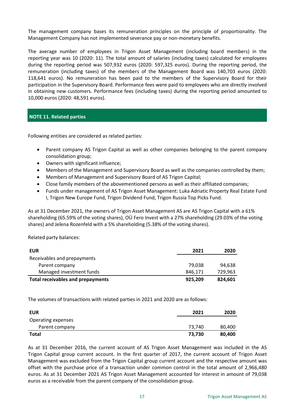The management company bases its remuneration principles on the principle of proportionality. The Management Company has not implemented severance pay or non-monetary benefits.

The average number of employees in Trigon Asset Management (including board members) in the reporting year was 10 (2020: 11). The total amount of salaries (including taxes) calculated for employees during the reporting period was 507,932 euros (2020: 597,325 euros). During the reporting period, the remuneration (including taxes) of the members of the Management Board was 140,703 euros (2020: 118,641 euros). No remuneration has been paid to the members of the Supervisory Board for their participation in the Supervisory Board. Performance fees were paid to employees who are directly involved in obtaining new customers. Performance fees (including taxes) during the reporting period amounted to 10,000 euros (2020: 48,591 euros).

#### <span id="page-16-0"></span>**NOTE 11. Related parties**

Following entities are considered as related parties:

- Parent company AS Trigon Capital as well as other companies belonging to the parent company consolidation group;
- Owners with significant influence;
- Members of the Management and Supervisory Board as well as the companies controlled by them;
- Members of Management and Supervisory Board of AS Trigon Capital;
- Close family members of the abovementioned persons as well as their affiliated companies;
- Funds under management of AS Trigon Asset Management: Luka Adriatic Property Real Estate Fund I, Trigon New Europe Fund, Trigon Dividend Fund, Trigon Russia Top Picks Fund.

As at 31 December 2021, the owners of Trigon Asset Management AS are AS Trigon Capital with a 61% shareholding (65.59% of the voting shares), OÜ Fero Invest with a 27% shareholding (29.03% of the voting shares) and Jelena Rozenfeld with a 5% shareholding (5.38% of the voting shares).

Related party balances:

| <b>EUR</b>                               | 2021    | 2020    |
|------------------------------------------|---------|---------|
| Receivables and prepayments              |         |         |
| Parent company                           | 79.038  | 94.638  |
| Managed investment funds                 | 846.171 | 729,963 |
| <b>Total receivables and prepayments</b> | 925,209 | 824,601 |

The volumes of transactions with related parties in 2021 and 2020 are as follows:

| <b>EUR</b>         | 2021   | 2020   |
|--------------------|--------|--------|
| Operating expenses |        |        |
| Parent company     | 73.740 | 80,400 |
| Total              | 73,730 | 80,400 |

As at 31 December 2016, the current account of AS Trigon Asset Management was included in the AS Trigon Capital group current account. In the first quarter of 2017, the current account of Trigon Asset Management was excluded from the Trigon Capital group current account and the respective amount was offset with the purchase price of a transaction under common control in the total amount of 2,966,480 euros. As at 31 December 2021 AS Trigon Asset Management accounted for interest in amount of 79,038 euros as a receivable from the parent company of the consolidation group.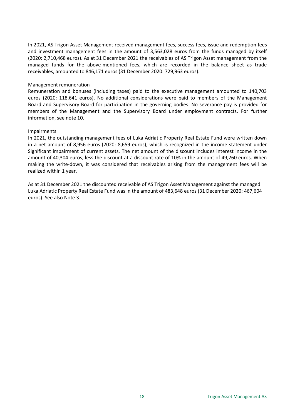In 2021, AS Trigon Asset Management received management fees, success fees, issue and redemption fees and investment management fees in the amount of 3,563,028 euros from the funds managed by itself (2020: 2,710,468 euros). As at 31 December 2021 the receivables of AS Trigon Asset management from the managed funds for the above-mentioned fees, which are recorded in the balance sheet as trade receivables, amounted to 846,171 euros (31 December 2020: 729,963 euros).

#### Management remuneration

Remuneration and bonuses (including taxes) paid to the executive management amounted to 140,703 euros (2020: 118,641 euros). No additional considerations were paid to members of the Management Board and Supervisory Board for participation in the governing bodies. No severance pay is provided for members of the Management and the Supervisory Board under employment contracts. For further information, see note 10.

#### Impairments

In 2021, the outstanding management fees of Luka Adriatic Property Real Estate Fund were written down in a net amount of 8,956 euros (2020: 8,659 euros), which is recognized in the income statement under Significant impairment of current assets. The net amount of the discount includes interest income in the amount of 40,304 euros, less the discount at a discount rate of 10% in the amount of 49,260 euros. When making the write-down, it was considered that receivables arising from the management fees will be realized within 1 year.

As at 31 December 2021 the discounted receivable of AS Trigon Asset Management against the managed Luka Adriatic Property Real Estate Fund was in the amount of 483,648 euros (31 December 2020: 467,604 euros). See also Note 3.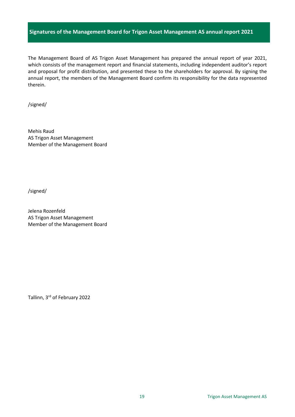## <span id="page-18-0"></span>**Signatures of the Management Board for Trigon Asset Management AS annual report 2021**

The Management Board of AS Trigon Asset Management has prepared the annual report of year 2021, which consists of the management report and financial statements, including independent auditor's report and proposal for profit distribution, and presented these to the shareholders for approval. By signing the annual report, the members of the Management Board confirm its responsibility for the data represented therein.

/signed/

Mehis Raud AS Trigon Asset Management Member of the Management Board

/signed/

Jelena Rozenfeld AS Trigon Asset Management Member of the Management Board

Tallinn, 3rd of February 2022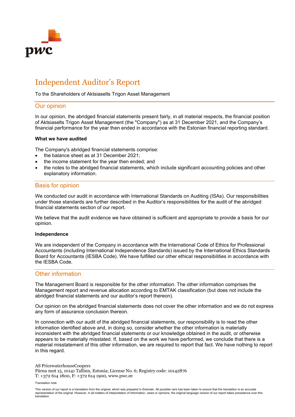<span id="page-19-0"></span>

# Independent Auditor's Report

To the Shareholders of Aktsiaselts Trigon Asset Management

#### Our opinion

In our opinion, the abridged financial statements present fairly, in all material respects, the financial position of Aktsiaselts Trigon Asset Management (the "Company") as at 31 December 2021, and the Company's financial performance for the year then ended in accordance with the Estonian financial reporting standard.

#### **What we have audited**

The Company's abridged financial statements comprise:

- the balance sheet as at 31 December 2021;
- the income statement for the year then ended; and
- the notes to the abridged financial statements, which include significant accounting policies and other explanatory information.

#### Basis for opinion

We conducted our audit in accordance with International Standards on Auditing (ISAs). Our responsibilities under those standards are further described in the Auditor's responsibilities for the audit of the abridged financial statements section of our report.

We believe that the audit evidence we have obtained is sufficient and appropriate to provide a basis for our opinion.

#### **Independence**

We are independent of the Company in accordance with the International Code of Ethics for Professional Accountants (including International Independence Standards) issued by the International Ethics Standards Board for Accountants (IESBA Code). We have fulfilled our other ethical responsibilities in accordance with the IESBA Code.

#### Other information

The Management Board is responsible for the other information. The other information comprises the Management report and revenue allocation according to EMTAK classification (but does not include the abridged financial statements and our auditor's report thereon).

Our opinion on the abridged financial statements does not cover the other information and we do not express any form of assurance conclusion thereon.

In connection with our audit of the abridged financial statements, our responsibility is to read the other information identified above and, in doing so, consider whether the other information is materially inconsistent with the abridged financial statements or our knowledge obtained in the audit, or otherwise appears to be materially misstated. If, based on the work we have performed, we conclude that there is a material misstatement of this other information, we are required to report that fact. We have nothing to report in this regard.

AS PricewaterhouseCoopers Pärnu mnt 15, 10141 Tallinn, Estonia; License No. 6; Registry code: 10142876 T: +372 614 1800, F: +372 614 1900, www.pwc.ee

Translation note:

This version of our report is a translation from the original, which was prepared in Estonian. All possible care has been taken to ensure that the translation is an accurate representation of the original. However, in all matters of interpretation of information, views or opinions, the original language version of our report takes precedence over this translation.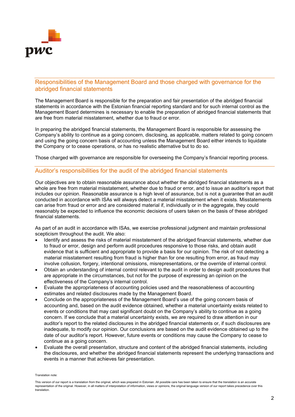

## Responsibilities of the Management Board and those charged with governance for the abridged financial statements

The Management Board is responsible for the preparation and fair presentation of the abridged financial statements in accordance with the Estonian financial reporting standard and for such internal control as the Management Board determines is necessary to enable the preparation of abridged financial statements that are free from material misstatement, whether due to fraud or error.

In preparing the abridged financial statements, the Management Board is responsible for assessing the Company's ability to continue as a going concern, disclosing, as applicable, matters related to going concern and using the going concern basis of accounting unless the Management Board either intends to liquidate the Company or to cease operations, or has no realistic alternative but to do so.

Those charged with governance are responsible for overseeing the Company's financial reporting process.

#### Auditor's responsibilities for the audit of the abridged financial statements

Our objectives are to obtain reasonable assurance about whether the abridged financial statements as a whole are free from material misstatement, whether due to fraud or error, and to issue an auditor's report that includes our opinion. Reasonable assurance is a high level of assurance, but is not a guarantee that an audit conducted in accordance with ISAs will always detect a material misstatement when it exists. Misstatements can arise from fraud or error and are considered material if, individually or in the aggregate, they could reasonably be expected to influence the economic decisions of users taken on the basis of these abridged financial statements.

As part of an audit in accordance with ISAs, we exercise professional judgment and maintain professional scepticism throughout the audit. We also:

- Identify and assess the risks of material misstatement of the abridged financial statements, whether due to fraud or error, design and perform audit procedures responsive to those risks, and obtain audit evidence that is sufficient and appropriate to provide a basis for our opinion. The risk of not detecting a material misstatement resulting from fraud is higher than for one resulting from error, as fraud may involve collusion, forgery, intentional omissions, misrepresentations, or the override of internal control.
- Obtain an understanding of internal control relevant to the audit in order to design audit procedures that are appropriate in the circumstances, but not for the purpose of expressing an opinion on the effectiveness of the Company's internal control.
- Evaluate the appropriateness of accounting policies used and the reasonableness of accounting estimates and related disclosures made by the Management Board.
- Conclude on the appropriateness of the Management Board's use of the going concern basis of accounting and, based on the audit evidence obtained, whether a material uncertainty exists related to events or conditions that may cast significant doubt on the Company's ability to continue as a going concern. If we conclude that a material uncertainty exists, we are required to draw attention in our auditor's report to the related disclosures in the abridged financial statements or, if such disclosures are inadequate, to modify our opinion. Our conclusions are based on the audit evidence obtained up to the date of our auditor's report. However, future events or conditions may cause the Company to cease to continue as a going concern.
- Evaluate the overall presentation, structure and content of the abridged financial statements, including the disclosures, and whether the abridged financial statements represent the underlying transactions and events in a manner that achieves fair presentation.

Translation note:

This version of our report is a translation from the original, which was prepared in Estonian. All possible care has been taken to ensure that the translation is an accurate representation of the original. However, in all matters of interpretation of information, views or opinions, the original language version of our report takes precedence over this translation.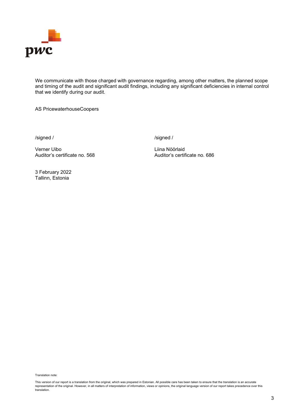

We communicate with those charged with governance regarding, among other matters, the planned scope and timing of the audit and significant audit findings, including any significant deficiencies in internal control that we identify during our audit.

AS PricewaterhouseCoopers

/signed / /signed /

Verner Uibo<br>
Auditor's certificate no. 568<br>
Auditor's certificate no. 686 Auditor's certificate no. 568 Auditor's certificate no. 686

3 February 2022 Tallinn, Estonia

Translation note:

This version of our report is a translation from the original, which was prepared in Estonian. All possible care has been taken to ensure that the translation is an accurate representation of the original. However, in all matters of interpretation of information, views or opinions, the original language version of our report takes precedence over this translation.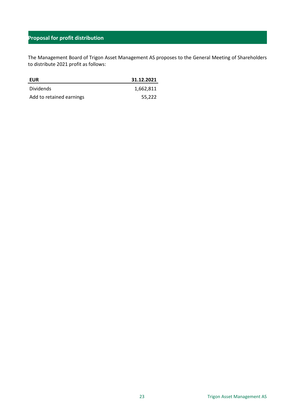# <span id="page-22-0"></span>**Proposal for profit distribution**

The Management Board of Trigon Asset Management AS proposes to the General Meeting of Shareholders to distribute 2021 profit as follows:

| <b>EUR</b>               | 31.12.2021 |
|--------------------------|------------|
| <b>Dividends</b>         | 1,662,811  |
| Add to retained earnings | 55.222     |